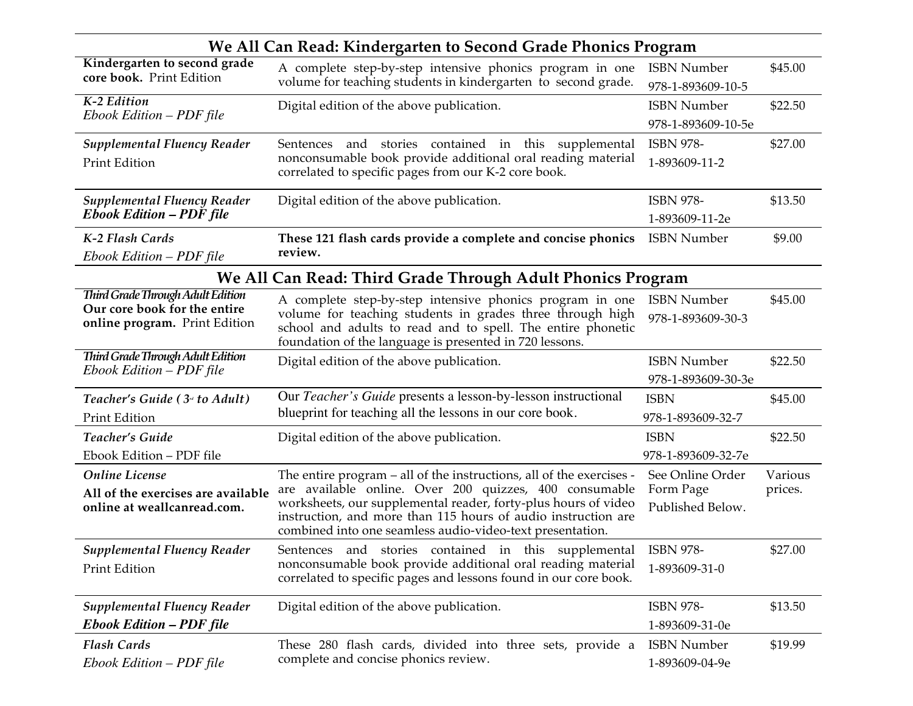| We All Can Read: Kindergarten to Second Grade Phonics Program                                      |                                                                                                                                                                                                                                                                                                                                |                                                   |                    |  |  |  |  |
|----------------------------------------------------------------------------------------------------|--------------------------------------------------------------------------------------------------------------------------------------------------------------------------------------------------------------------------------------------------------------------------------------------------------------------------------|---------------------------------------------------|--------------------|--|--|--|--|
| Kindergarten to second grade<br>core book. Print Edition                                           | A complete step-by-step intensive phonics program in one<br>volume for teaching students in kindergarten to second grade.                                                                                                                                                                                                      | <b>ISBN Number</b><br>978-1-893609-10-5           | \$45.00            |  |  |  |  |
| K-2 Edition<br>Ebook Edition – PDF file                                                            | Digital edition of the above publication.                                                                                                                                                                                                                                                                                      | <b>ISBN Number</b><br>978-1-893609-10-5e          | \$22.50            |  |  |  |  |
| <b>Supplemental Fluency Reader</b><br>Print Edition                                                | Sentences and stories contained in this supplemental<br>nonconsumable book provide additional oral reading material<br>correlated to specific pages from our K-2 core book.                                                                                                                                                    | <b>ISBN 978-</b><br>1-893609-11-2                 | \$27.00            |  |  |  |  |
| <b>Supplemental Fluency Reader</b><br><b>Ebook Edition - PDF file</b>                              | Digital edition of the above publication.                                                                                                                                                                                                                                                                                      | <b>ISBN 978-</b><br>1-893609-11-2e                | \$13.50            |  |  |  |  |
| K-2 Flash Cards<br>Ebook Edition - PDF file                                                        | These 121 flash cards provide a complete and concise phonics<br>review.                                                                                                                                                                                                                                                        | <b>ISBN Number</b>                                | \$9.00             |  |  |  |  |
| We All Can Read: Third Grade Through Adult Phonics Program                                         |                                                                                                                                                                                                                                                                                                                                |                                                   |                    |  |  |  |  |
| Third Grade Through Adult Edition<br>Our core book for the entire<br>online program. Print Edition | A complete step-by-step intensive phonics program in one<br>volume for teaching students in grades three through high<br>school and adults to read and to spell. The entire phonetic<br>foundation of the language is presented in 720 lessons.                                                                                | <b>ISBN Number</b><br>978-1-893609-30-3           | \$45.00            |  |  |  |  |
| Third Grade Through Adult Edition<br>Ebook Edition – PDF file                                      | Digital edition of the above publication.                                                                                                                                                                                                                                                                                      | <b>ISBN Number</b><br>978-1-893609-30-3e          | \$22.50            |  |  |  |  |
| Teacher's Guide (3 <sup>td</sup> to Adult)<br><b>Print Edition</b>                                 | Our <i>Teacher's Guide</i> presents a lesson-by-lesson instructional<br>blueprint for teaching all the lessons in our core book.                                                                                                                                                                                               | <b>ISBN</b><br>978-1-893609-32-7                  | \$45.00            |  |  |  |  |
| Teacher's Guide<br>Ebook Edition - PDF file                                                        | Digital edition of the above publication.                                                                                                                                                                                                                                                                                      | <b>ISBN</b><br>978-1-893609-32-7e                 | \$22.50            |  |  |  |  |
| <b>Online License</b><br>All of the exercises are available<br>online at weallcanread.com.         | The entire program – all of the instructions, all of the exercises -<br>are available online. Over 200 quizzes, 400 consumable<br>worksheets, our supplemental reader, forty-plus hours of video<br>instruction, and more than 115 hours of audio instruction are<br>combined into one seamless audio-video-text presentation. | See Online Order<br>Form Page<br>Published Below. | Various<br>prices. |  |  |  |  |
| <b>Supplemental Fluency Reader</b><br>Print Edition                                                | Sentences and stories contained in this supplemental ISBN 978-<br>nonconsumable book provide additional oral reading material<br>correlated to specific pages and lessons found in our core book.                                                                                                                              | 1-893609-31-0                                     | \$27.00            |  |  |  |  |
| <b>Supplemental Fluency Reader</b><br><b>Ebook Edition - PDF file</b>                              | Digital edition of the above publication.                                                                                                                                                                                                                                                                                      | <b>ISBN 978-</b><br>1-893609-31-0e                | \$13.50            |  |  |  |  |
| <b>Flash Cards</b><br>Ebook Edition – PDF file                                                     | These 280 flash cards, divided into three sets, provide a<br>complete and concise phonics review.                                                                                                                                                                                                                              | <b>ISBN Number</b><br>1-893609-04-9e              | \$19.99            |  |  |  |  |